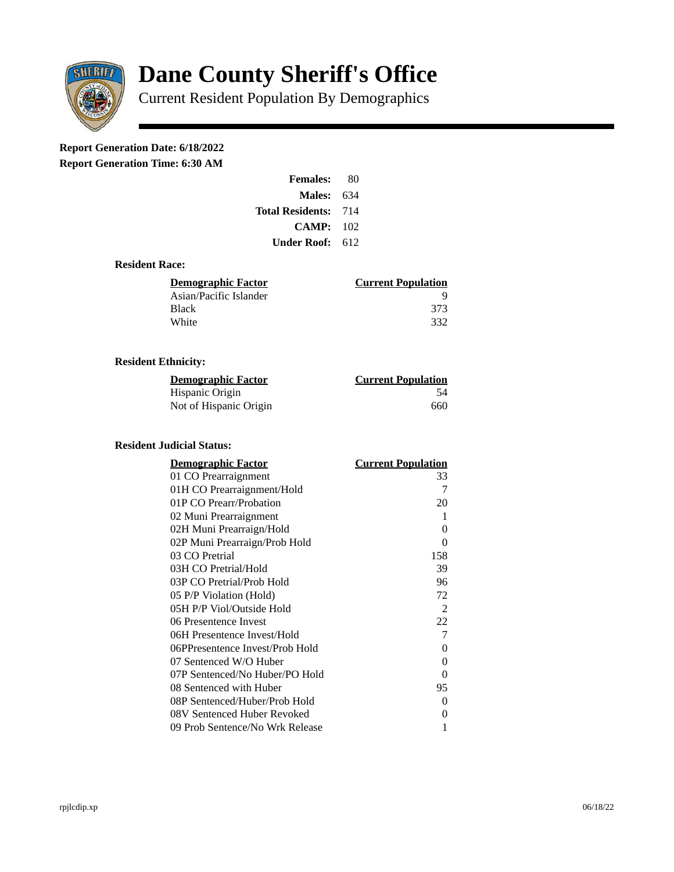

# **Dane County Sheriff's Office**

Current Resident Population By Demographics

# **Report Generation Date: 6/18/2022**

**Report Generation Time: 6:30 AM** 

| <b>Females:</b>  | 80  |
|------------------|-----|
| Males:           | 634 |
| Total Residents: | 714 |
| CAMP:            | 102 |
| Under Roof:      | 612 |

#### **Resident Race:**

| Demographic Factor     | <b>Current Population</b> |
|------------------------|---------------------------|
| Asian/Pacific Islander |                           |
| Black                  | 373                       |
| White                  | 332                       |
|                        |                           |

#### **Resident Ethnicity:**

| Demographic Factor     | <b>Current Population</b> |
|------------------------|---------------------------|
| Hispanic Origin        | 54                        |
| Not of Hispanic Origin | 660                       |

## **Resident Judicial Status:**

| <u>Demographic Factor</u>       | <b>Current Population</b> |
|---------------------------------|---------------------------|
| 01 CO Prearraignment            | 33                        |
| 01H CO Prearraignment/Hold      | 7                         |
| 01P CO Prearr/Probation         | 20                        |
| 02 Muni Prearraignment          | 1                         |
| 02H Muni Prearraign/Hold        | 0                         |
| 02P Muni Prearraign/Prob Hold   | 0                         |
| 03 CO Pretrial                  | 158                       |
| 03H CO Pretrial/Hold            | 39                        |
| 03P CO Pretrial/Prob Hold       | 96                        |
| 05 P/P Violation (Hold)         | 72                        |
| 05H P/P Viol/Outside Hold       | 2                         |
| 06 Presentence Invest           | 22                        |
| 06H Presentence Invest/Hold     | 7                         |
| 06PPresentence Invest/Prob Hold | 0                         |
| 07 Sentenced W/O Huber          | 0                         |
| 07P Sentenced/No Huber/PO Hold  | 0                         |
| 08 Sentenced with Huber         | 95                        |
| 08P Sentenced/Huber/Prob Hold   | O                         |
| 08V Sentenced Huber Revoked     | 0                         |
| 09 Prob Sentence/No Wrk Release | 1                         |